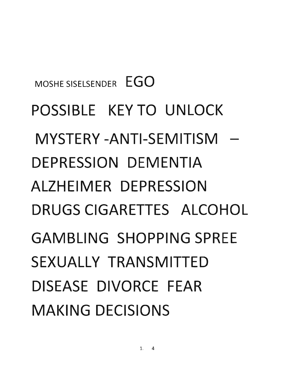MOSHE SISELSENDER EGO POSSIBLE KEY TO UNLOCK MYSTERY -ANTI-SEMITISM - DEPRESSION DEMENTIA ALZHEIMER DEPRESSION DRUGS CIGARETTES ALCOHOL GAMBLING SHOPPING SPREE SEXUALLY TRANSMITTED DISEASE DIVORCE FEAR MAKING DECISIONS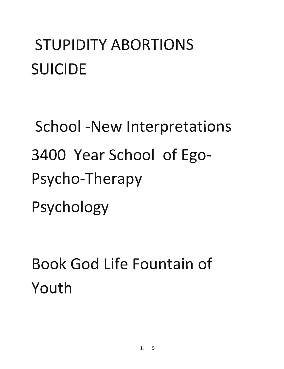### STUPIDITY ABORTIONS SUICIDE

School -New Interpretations 3400 Year School of Ego-Psycho-Therapy Psychology

Book God Life Fountain of Youth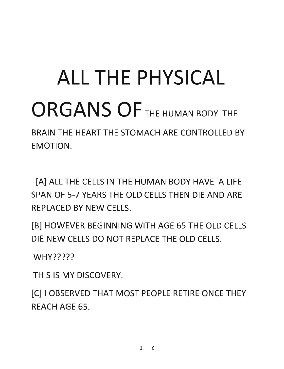# ALL THE PHYSICAL ORGANS OF THE HUMAN BODY THE

BRAIN THE HEART THE STOMACH ARE CONTROLLED BY EMOTION.

[A] ALL THE CELLS IN THE HUMAN BODY HAVE A LIFE SPAN OF 5-7 YEARS THE OLD CELLS THEN DIE AND ARE REPLACED BY NEW CELLS.

[B] HOWEVER BEGINNING WITH AGE 65 THE OLD CELLS DIE NEW CELLS DO NOT REPLACE THE OLD CELLS.

WHY?????

THIS IS MY DISCOVERY.

[C] I OBSERVED THAT MOST PEOPLE RETIRE ONCE THEY REACH AGE 65.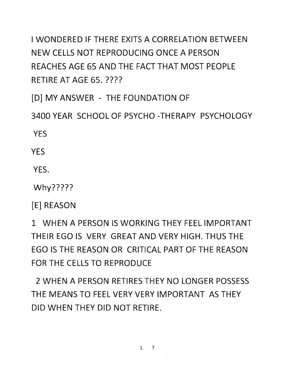I WONDERED IF THERE EXITS A CORRELATION BETWEEN NEW CELLS NOT REPRODUCING ONCE A PERSON REACHES AGE 65 AND THE FACT THAT MOST PEOPLE RETIRE AT AGE 65. ????

[D] MY ANSWER - THE FOUNDATION OF

3400 YEAR SCHOOL OF PSYCHO -THERAPY PSYCHOLOGY

YES

**YFS** 

YES.

Why?????

[E] REASON

1 WHEN A PERSON IS WORKING THEY FEEL IMPORTANT THEIR EGO IS VERY GREAT AND VERY HIGH. THUS THE EGO IS THE REASON OR CRITICAL PART OF THE REASON FOR THE CELLS TO REPRODUCE

2 WHEN A PERSON RETIRES THEY NO LONGER POSSESS THE MEANS TO FEEL VERY VERY IMPORTANT AS THEY DID WHEN THEY DID NOT RETIRE.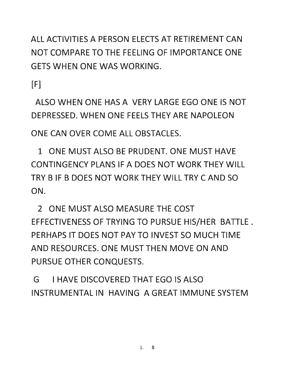ALL ACTIVITIES A PERSON ELECTS AT RETIREMENT CAN NOT COMPARE TO THE FEELING OF IMPORTANCE ONE GETS WHEN ONE WAS WORKING.

 $[F]$ 

ALSO WHEN ONE HAS A VERY LARGE EGO ONE IS NOT DEPRESSED. WHEN ONE FEELS THEY ARE NAPOLEON

ONE CAN OVER COME ALL OBSTACLES.

1 ONE MUST ALSO BE PRUDENT. ONE MUST HAVE CONTINGENCY PLANS IF A DOES NOT WORK THEY WILL TRY B IF B DOES NOT WORK THEY WILL TRY C AND SO ON.

2 ONE MUST ALSO MEASURE THE COST EFFECTIVENESS OF TRYING TO PURSUE HIS/HER BATILE. PERHAPS IT DOES NOT PAY TO INVEST SO MUCH TIME AND RESOURCES. ONE MUST THEN MOVE ON AND PURSUE OTHER CONQUESTS.

G I HAVE DISCOVERED THAT EGO IS ALSO INSTRUMENTAL IN HAVING A GREAT IMMUNE SYSTEM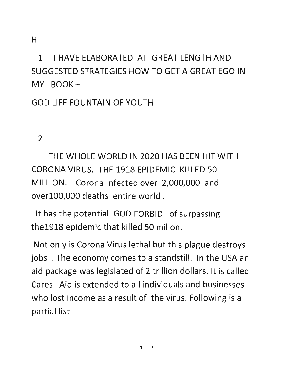H

1 I HAVE ELABORATED AT GREAT LENGTH AND SUGGESTED STRATEGIES HOW TO GET A GREAT EGO IN  $MY$  BOOK  $-$ 

GOD LIFE FOUNTAIN OF YOUTH

2

THE WHOLE WORLD IN 2020 HAS BEEN HIT WITH CORONA VIRUS. THE 1918 EPIDEMIC KILLED 50 MILLION. Corona Infected over 2,000,000 and overl00,000 deaths entire world.

It has the potential GOD FORBID of surpassing the1918 epidemic that killed 50 millon.

Not only is Corona Virus lethal but this plague destroys jobs . The economy comes to a standstill. In the USA an aid package was legislated of 2 trillion dollars. It is called Cares Aid is extended to all individuals and businesses who lost income as a result of the virus. Following is a partial list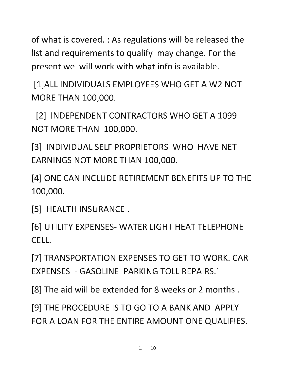of what is covered. : As regulations will be released the list and requirements to qualify may change. For the present we will work with what info is available.

[l]ALL INDIVIDUALS EMPLOYEES WHO GET A W2 NOT MORE THAN 100,000.

[2] INDEPENDENT CONTRACTORS WHO GET A 1099 NOT MORE THAN 100,000.

[3] INDIVIDUAL SELF PROPRIETORS WHO HAVE NET EARNINGS NOT MORE THAN 100,000.

[4] ONE CAN INCLUDE RETIREMENT BENEFITS UP TO THE 100,000.

[5] HEALTH INSURANCE.

[6] UTILITY EXPENSES- WATER LIGHT HEAT TELEPHONE CELL.

[7] TRANSPORTATION EXPENSES TO GET TO WORK. CAR EXPENSES - GASOLINE PARKING TOLL REPAIRS.'

[8] The aid will be extended for 8 weeks or 2 months.

[9] THE PROCEDURE IS TO GO TO A BANK AND APPLY FOR A LOAN FOR THE ENTIRE AMOUNT ONE QUALIFIES.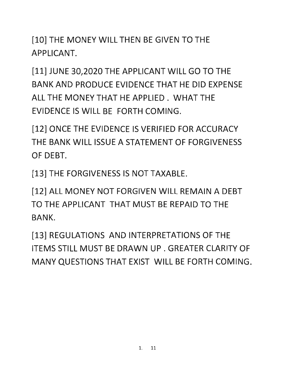[10] THE MONEY WILL THEN BE GIVEN TO THE APPLICANT.

[11] JUNE 30,2020 THE APPLICANT WILL GO TO THE BANK AND PRODUCE EVIDENCE THAT HE DID EXPENSE ALL THE MONEY THAT HE APPLIED. WHAT THE EVIDENCE IS WILL BE FORTH COMING.

[12] ONCE THE EVIDENCE IS VERIFIED FOR ACCURACY THE BANK WILL ISSUE A STATEMENT OF FORGIVENESS OF DEBT.

[13] THE FORGIVENESS IS NOT TAXABLE.

[12] ALL MONEY NOT FORGIVEN WILL REMAIN A DEBT TO THE APPLICANT THAT MUST BE REPAID TO THE BANK.

[13] REGULATIONS AND INTERPRETATIONS OF THE ITEMS STILL MUST BE DRAWN UP . GREATER CLARITY OF MANY QUESTIONS THAT EXIST WILL BE FORTH COMING.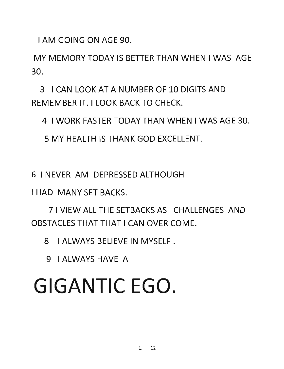I AM GOING ON AGE 90.

MY MEMORY TODAY IS BETTER THAN WHEN I WAS AGE 30.

3 I CAN LOOK AT A NUMBER OF 10 DIGITS AND REMEMBER IT. I LOOK BACK TO CHECK.

4 I WORK FASTER TODAY THAN WHEN I WAS AGE 30.

5 MY HEALTH IS THANK GOD EXCELLENT.

6 I NEVER AM DEPRESSED ALTHOUGH

I HAD MANY SET BACKS.

7 I VIEW ALL THE SETBACKS AS CHALLENGES AND OBSTACLES THAT THAT I CAN OVER COME.

8 I ALWAYS BELIEVE IN MYSELF.

9 I ALWAYS HAVE A

# GIGANTIC EGO.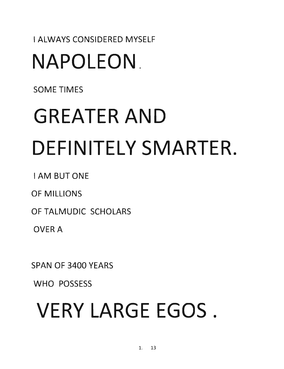#### I ALWAYS CONSIDERED MYSELF NAPOLEON.

SOME TIMES

# GREATER AND DEFINITELY SMARTER.

I AM BUTONE

OF MILLIONS

OF TALMUDIC SCHOLARS

OVERA

SPAN OF 3400 YEARS

WHO POSSESS

# VERY LARGE EGOS.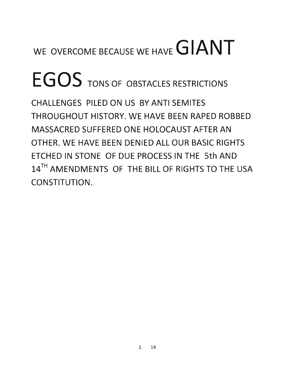### WE OVERCOME BECAUSE WE HAVE **GIANT**

# EGOS TONS OF OBSTACLES RESTRICTIONS

**CHALLENGES PILED ON US BY ANTI SEMITES THROUGHOUT HISTORY. WE HAVE BEEN RAPED ROBBED MASSACRED SUFFERED ONE HOLOCAUST AFTER AN OTHER. WE HAVE BEEN DENIED ALL OUR BASIC RIGHTS ETCHED IN STONE OF DUE PROCESS IN THE 5th AND**  14TH **AMENDMENTS OF THE BILL OF RIGHTS TO THE USA CONSTITUTION.**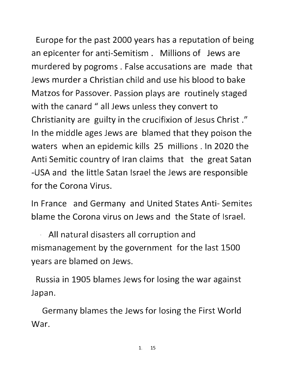Europe for the past 2000 years has a reputation of being an epicenter for anti-Semitism. Millions of Jews are murdered by pogroms. False accusations are made that Jews murder a Christian child and use his blood to bake Matzos for Passover. Passion plays are routinely staged with the canard " all Jews unless they convert to Christianity are guilty in the crucifixion of Jesus Christ *./1*  In the middle ages Jews are blamed that they poison the waters when an epidemic kills 25 millions. In 2020 the Anti Semitic country of Iran claims that the great Satan -USA and the little Satan Israel the Jews are responsible for the Corona Virus.

In France and Germany and United States Anti- Semites blame the Corona virus on Jews and the State of Israel.

. All natural disasters all corruption and mismanagement by the government for the last 1500 years are blamed on Jews.

Russia in 1905 blames Jews for losing the war against Japan.

Germany blames the Jews for losing the First World War.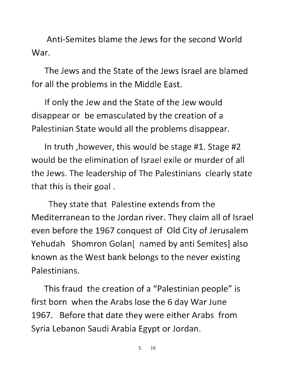Anti-Semites blame the Jews for the second World War.

The Jews and the State of the Jews Israel are blamed for all the problems in the Middle East.

If only the Jew and the State of the Jew would disappear or be emasculated by the creation of a Palestinian State would all the problems disappear.

In truth ,however, this would be stage #1. Stage #2 would be the elimination of Israel exile or murder of all the Jews. The leadership of The Palestinians clearly state that this is their goal.

They state that Palestine extends from the Mediterranean to the Jordan river. They claim all of Israel even before the 1967 conquest of Old City of Jerusalem Yehudah Shomron Golan[ named by anti Semites] also known as the West bank belongs to the never existing Palestinians.

This fraud the creation of a "Palestinian people" is first born when the Arabs lose the 6 day War June 1967. Before that date they were either Arabs from Syria Lebanon Saudi Arabia Egypt or Jordan.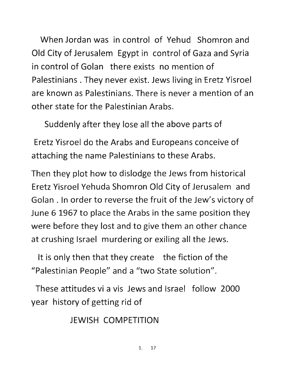When Jordan was in control of Yehud Shomron and Old City of Jerusalem Egypt in control of Gaza and Syria in control of Golan there exists no mention of Palestinians. They never exist. Jews living in Eretz Yisroel are known as Palestinians. There is never a mention of an other state for the Palestinian Arabs.

Suddenly after they lose all the above parts of

Eretz Yisroel do the Arabs and Europeans conceive of attaching the name Palestinians to these Arabs.

Then they plot how to dislodge the Jews from historical Eretz Yisroel Yehuda Shomron Old City of Jerusalem and Golan. In order to reverse the fruit of the Jew's victory of June 6 1967 to place the Arabs in the same position they were before they lost and to give them an other chance at crushing Israel murdering or exiling all the Jews.

It is only then that they create the fiction of the "Palestinian People" and a "two State solution".

These attitudes vi a vis Jews and Israel follow 2000 year history of getting rid of

JEWISH COMPETITION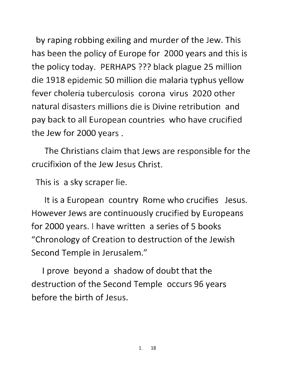by raping robbing exiling and murder of the Jew. This has been the policy of Europe for 2000 years and this is the policy today. PERHAPS ??? black plague 25 million die 1918 epidemic 50 million die malaria typhus yellow fever choleria tuberculosis corona virus 2020 other natural disasters millions die is Divine retribution and pay back to all European countries who have crucified the Jew for 2000 years.

The Christians claim that Jews are responsible for the crucifixion of the Jew Jesus Christ.

This is a sky scraper lie.

It is a European country Rome who crucifies Jesus. However Jews are continuously crucified by Europeans for 2000 years. I have written a series of 5 books "Chronology of Creation to destruction of the Jewish Second Temple in Jerusalem."

I prove beyond a shadow of doubt that the destruction of the Second Temple occurs 96 years before the birth of Jesus.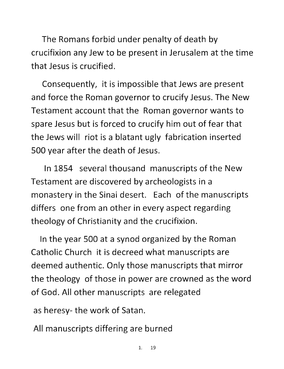The Romans forbid under penalty of death by crucifixion any Jew to be present in Jerusalem at the time that Jesus is crucified.

Consequently, it is impossible that Jews are present and force the Roman governor to crucify Jesus. The New Testament account that the Roman governor wants to spare Jesus but is forced to crucify him out of fear that the Jews will riot is a blatant ugly fabrication inserted 500 year after the death of Jesus.

In 1854 several thousand manuscripts of the New Testament are discovered by archeologists in a monastery in the Sinai desert. Each of the manuscripts differs one from an other in every aspect regarding theology of Christianity and the crucifixion.

In the year 500 at a synod organized by the Roman Catholic Church it is decreed what manuscripts are deemed authentic. Only those manuscripts that mirror the theology of those in power are crowned as the word of God. All other manuscripts are relegated

as heresy- the work of Satan.

All manuscripts differing are burned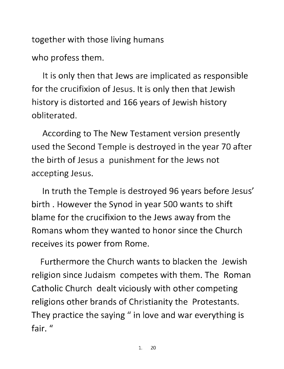together with those living humans

who profess them.

It is only then that Jews are implicated as responsible for the crucifixion of Jesus. It is only then that Jewish history is distorted and 166 years of Jewish history obliterated.

According to The New Testament version presently used the Second Temple is destroyed in the year 70 after the birth of Jesus a punishment for the Jews not accepting Jesus.

In truth the Temple is destroyed 96 years before Jesus' birth. However the Synod in year 500 wants to shift blame for the crucifixion to the Jews away from the Romans whom they wanted to honor since the Church receives its power from Rome.

Furthermore the Church wants to blacken the Jewish religion since Judaism competes with them. The Roman Catholic Church dealt viciously with other competing religions other brands of Christianity the Protestants. They practice the saying " in love and war everything is fair."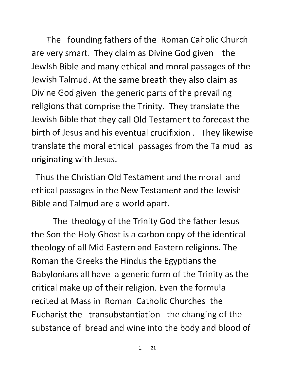The founding fathers of the Roman Caholic Church are very smart. They claim as Divine God given the Jewish Bible and many ethical and moral passages of the Jewish Talmud. At the same breath they also claim as Divine God given the generic parts of the prevailing religions that comprise the Trinity. They translate the Jewish Bible that they call Old Testament to forecast the birth of Jesus and his eventual crucifixion. They likewise translate the moral ethical passages from the Talmud as originating with Jesus.

Thus the Christian Old Testament and the moral and ethical passages in the New Testament and the Jewish Bible and Talmud are a world apart.

The theology of the Trinity God the father Jesus the Son the Holy Ghost is a carbon copy of the identical theology of all Mid Eastern and Eastern religions. The Roman the Greeks the Hindus the Egyptians the Babylonians all have a generic form of the Trinity as the critical make up of their religion. Even the formula recited at Mass in Roman Catholic Churches the Eucharist the transubstantiation the changing of the substance of bread and wine into the body and blood of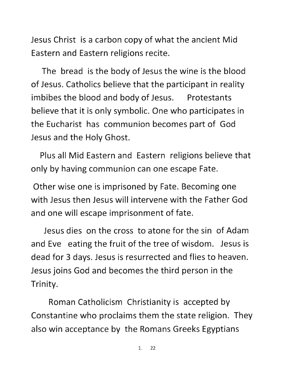Jesus Christ is a carbon copy of what the ancient Mid Eastern and Eastern religions recite.

The bread is the body of Jesus the wine is the blood of Jesus. Catholics believe that the participant in reality imbibes the blood and body of Jesus. Protestants believe that it is only symbolic. One who participates in the Eucharist has communion becomes part of God Jesus and the Holy Ghost.

Plus all Mid Eastern and Eastern religions believe that only by having communion can one escape Fate.

Other wise one is imprisoned by Fate. Becoming one with Jesus then Jesus will intervene with the Father God and one will escape imprisonment of fate.

Jesus dies on the cross to atone for the sin of Adam and Eve eating the fruit of the tree of wisdom. Jesus is dead for 3 days. Jesus is resurrected and flies to heaven. Jesus joins God and becomes the third person in the Trinity.

Roman Catholicism Christianity is accepted by Constantine who proclaims them the state religion. They also win acceptance by the Romans Greeks Egyptians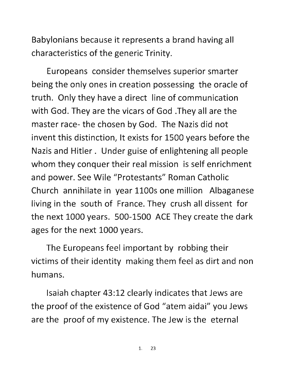Babylonians because it represents a brand having all characteristics of the generic Trinity.

Europeans consider themselves superior smarter being the only ones in creation possessing the oracle of truth. Only they have a direct line of communication with God. They are the vicars of God .They all are the master race- the chosen by God. The Nazis did not invent this distinction, It exists for 1500 years before the Nazis and Hitler. Under guise of enlightening all people whom they conquer their real mission is self enrichment and power. See Wile "Protestants" Roman Catholic Church annihilate in year 1100s one million Albaganese living in the south of France. They crush all dissent for the next 1000 years. 500-1500 ACE They create the dark ages for the next 1000 years.

The Europeans feel important by robbing their victims of their identity making them feel as dirt and non humans.

Isaiah chapter 43:12 clearly indicates that Jews are the proof of the existence of God "atem aidai" you Jews are the proof of my existence. The Jew is the eternal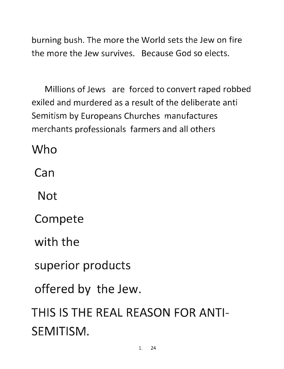burning bush. The more the World sets the Jew on fire the more the Jew survives. Because God so elects.

Millions of Jews are forced to convert raped robbed exiled and murdered as a result of the deliberate anti Semitism by Europeans Churches manufactures merchants professionals farmers and all others

Who

**Can** 

**Not** 

Compete

with the

superior products

offered by the Jew.

THIS IS THE REAL REASON FOR ANTI-SEMITISM.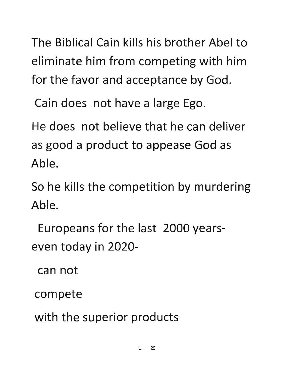The Biblical Cain kills his brother Abel to eliminate him from competing with him for the favor and acceptance by God.

Cain does not have a large Ego.

He does not believe that he can deliver as good a product to appease God as Able.

So he kills the competition by murdering Able.

Europeans for the last 2000 yearseven today in 2020-

can not

compete

with the superior products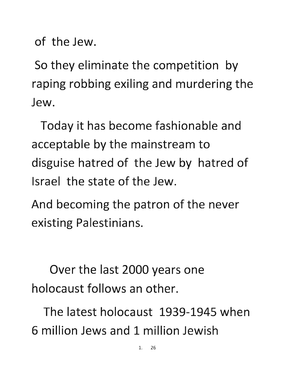of the Jew.

So they eliminate the competition by raping robbing exiling and murdering the Jew.

Today it has become fashionable and acceptable by the mainstream to disguise hatred of the Jew by hatred of Israel the state of the Jew.

And becoming the patron of the never existing Palestinians.

Over the last 2000 years one holocaust follows an other.

The latest holocaust 1939-1945 when 6 million Jews and 1 million Jewish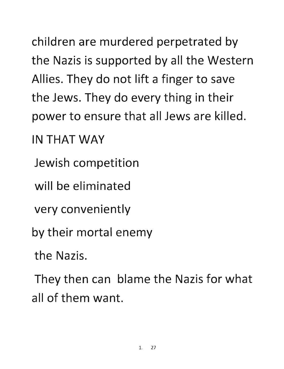children are murdered perpetrated by the Nazis is supported by all the Western Allies. They do not lift a finger to save the Jews. They do every thing in their power to ensure that all Jews are killed.

IN THAT WAY

Jewish competition

will be eliminated

very conveniently

by their mortal enemy

the Nazis.

They then can blame the Nazis for what all of them want.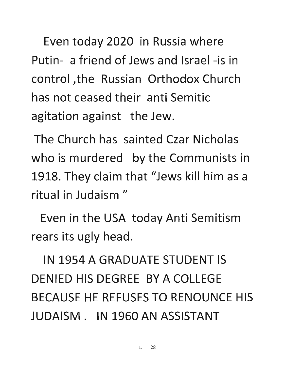Even today 2020 in Russia where Putin- a friend of Jews and Israel -is in control ,the Russian Orthodox Church has not ceased their anti Semitic agitation against the Jew.

The Church has sainted Czar Nicholas who is murdered by the Communists in 1918. They claim that "Jews kill him as a ritual in Judaism"

Even in the USA today Anti Semitism rears its ugly head.

IN 1954 A GRADUATE STUDENT IS DENIED HIS DEGREE BY A COLLEGE BECAUSE HE REFUSES TO RENOUNCE HIS JUDAISM. IN 1960 AN ASSISTANT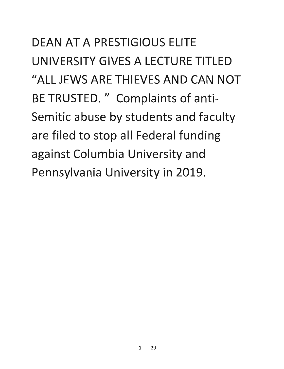DEAN AT A PRESTIGIOUS ELITE UNIVERSITY GIVES A LECTURE TITLED "ALL JEWS ARE THIEVES AND CAN NOT BE TRUSTED. " Complaints of anti-Semitic abuse by students and faculty are filed to stop all Federal funding against Columbia University and Pennsylvania University in 2019.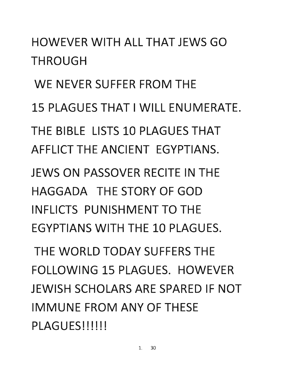#### HOWEVER WITH ALL THAT JEWS GO THROUGH

WE NEVER SUFFER FROM THE 15 PLAGUES THAT I WILL ENUMERATE. THE BIBLE LISTS 10 PLAGUES THAT AFFLICT THE ANCIENT EGYPTIANS.

JEWS ON PASSOVER RECITE IN THE HAGGADA THE STORY OF GOD INFLICTS PUNISHMENT TO THE EGYPTIANS WITH THE 10 PLAGUES.

THE WORLD TODAY SUFFERS THE FOLLOWING 15 PLAGUES. HOWEVER JEWISH SCHOLARS ARE SPARED IF NOT IMMUNE FROM ANY OF THESE PLAGUES!!!!!!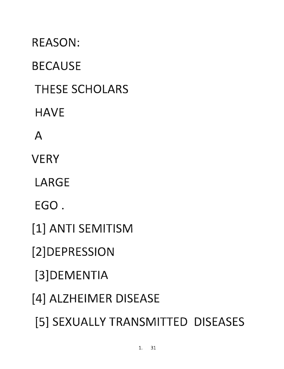**[2]DEPRESSION [3]DEMENTIA [4] ALZHEIMER DISEASE [5] SEXUALLY TRANSMITTED DISEASES** 

**[1] ANTI SEMITISM** 

**EGO.** 

**LARGE** 

**VERY** 

A

**HAVE** 

**THESE SCHOLARS** 

**BECAUSE** 

**REASON:**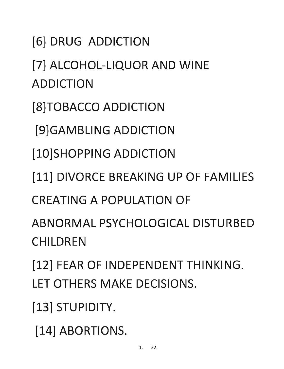[7] ALCOHOL-LIQUOR AND WINE ADDICTION [8]TOBACCO ADDICTION [9]GAMBLING ADDICTION [10]SHOPPING ADDICTION [11] DIVORCE BREAKING UP OF FAMILIES CREATING A POPULATION OF ABNORMAL PSYCHOLOGICAL DISTURBED CHII DRFN [12] FEAR OF INDEPENDENT THINKING. LET OTHERS MAKE DECISIONS. [13] STUPIDITY.

[14] ABORTIONS.

[6] DRUG ADDICTION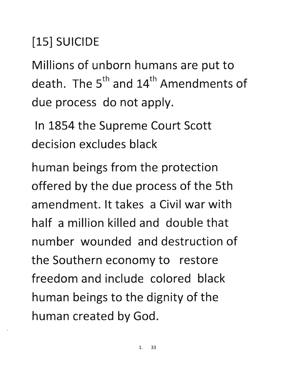[15] SUICIDE

Millions of unborn humans are put to death. The  $5<sup>th</sup>$  and 14<sup>th</sup> Amendments of due process do not apply.

In 1854 the Supreme Court Scott decision excludes black

human beings from the protection offered by the due process of the 5th amendment. It takes a Civil war with half a million killed and double that number wounded and destruction of the Southern economy to restore freedom and include colored black human beings to the dignity of the human created by God.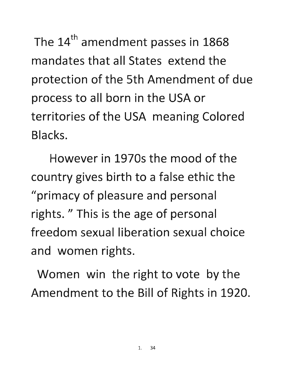The 14<sup>th</sup> amendment passes in 1868 mandates that all States extend the protection of the 5th Amendment of due process to all born in the USA or territories of the USA meaning Colored Blacks.

However in 1970s the mood of the country gives birth to a false ethic the "primacy of pleasure and personal rights." This is the age of personal freedom sexual liberation sexual choice and women rights.

Women win the right to vote by the Amendment to the Bill of Rights in 1920.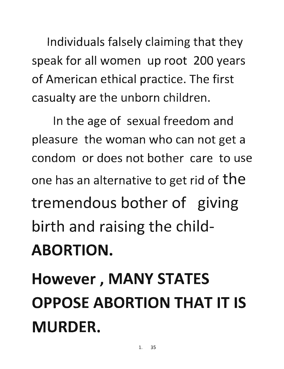Individuals falsely claiming that they speak for all women up root 200 years of American ethical practice. The first casualty are the unborn children.

In the age of sexual freedom and pleasure the woman who can not get a condom or does not bother care to use one has an alternative to get rid of the tremendous bother of giving birth and raising the child-ABORTION.

### However, MANY STATES OPPOSE ABORTION THAT IT IS MURDER.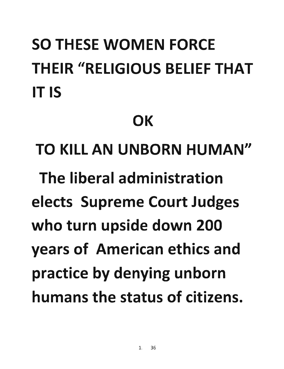## SO THESE WOMEN FORCE THEIR "RELIGIOUS BELIEF THAT IT IS

#### **OK**

TO KILL AN UNBORN HUMAN" The liberal administration elects Supreme Court Judges who turn upside down 200 years of American ethics and practice by denying unborn humans the status of citizens.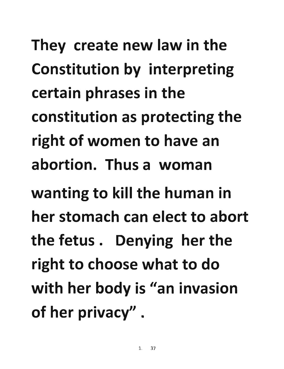They create new law in the **Constitution by interpreting certain phrases in the**  constitution as protecting the right of women to have an **abortion. Thus a woman wanting to kill the human in her stomach can elect to abort**  the fetus. Denying her the right to choose what to do with her body is "an invasion of her privacy" .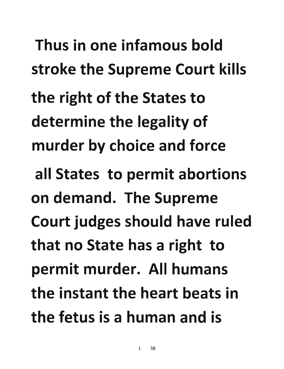**Thus in one infamous bold**  stroke the Supreme Court kills **the right of the States to**  determine the legality of murder by choice and force **all States to permit abortions on demand. The Supreme**  Court judges should have ruled **that no State has a right to**  permit murder. All humans **the instant the heart beats in the fetus is a human and is**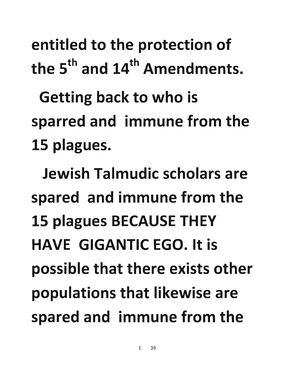entitled to the protection of the  $5<sup>th</sup>$  and  $14<sup>th</sup>$  Amendments.

Getting back to who is sparred and immune from the 15 plagues.

Jewish Talmudic scholars are spared and immune from the 15 plagues BECAUSE THEY HAVE GIGANTIC EGO. It is possible that there exists other populations that likewise are spared and immune from the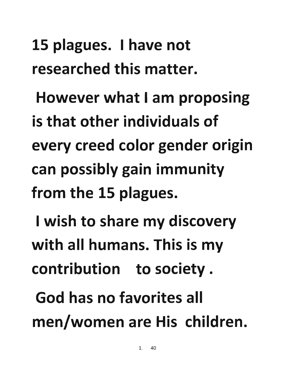15 plagues. I have not researched this matter.

However what I am proposing is that other individuals of every creed color gender origin can possibly gain immunity from the 15 plagues.

I wish to share my discovery with all humans. This is my contribution to society.

God has no favorites all men/women are His children.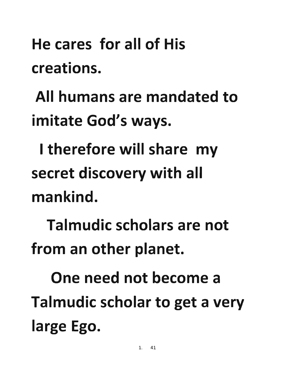**He cares for all of His creations.** 

**All humans are mandated to**  imitate God's ways.

**I therefore will share** my **secret discovery with all mankind.** 

**Talmudic scholars are not**  from an other planet.

**One need not become a**  Talmudic scholar to get a very large Ego.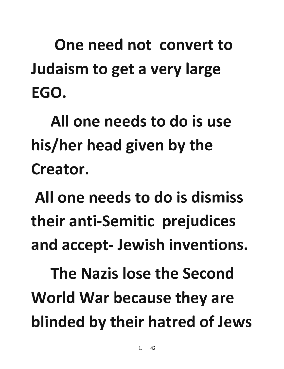One need not convert to Judaism to get a very large EGO.

All one needs to do is use his/her head given by the Creator.

All one needs to do is dismiss their anti-Semitic prejudices and accept- Jewish inventions.

The Nazis lose the Second World War because they are blinded by their hatred of Jews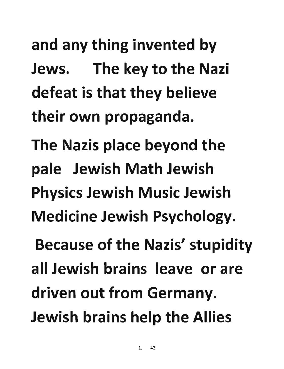and any thing invented by **Jews. The key to the Nazi**  defeat is that they believe **their own propaganda. The Nazis place beyond the pale Jewish Math Jewish Physics Jewish Music Jewish Medicine Jewish Psychology. Because of the Nazis' stupidity all Jewish brains leave or are**  driven out from Germany. **Jewish brains help the Allies**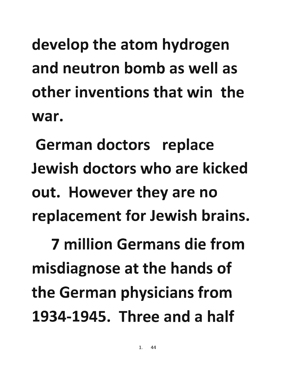develop the atom hydrogen and neutron bomb as well as other inventions that win the war.

German doctors replace Jewish doctors who are kicked out. However they are no replacement for Jewish brains.

7 million Germans die from misdiagnose at the hands of the German physicians from 1934-1945. Three and a half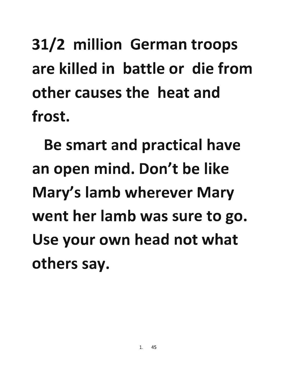## 31/2 million German troops are killed in battle or die from other causes the heat and frost.

Be smart and practical have an open mind. Don't be like Mary's lamb wherever Mary went her lamb was sure to go. Use your own head not what others say.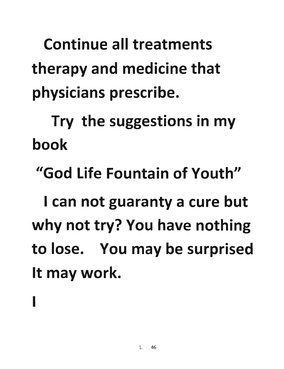Continue all treatments therapy and medicine that physicians prescribe.

Try the suggestions in my book

"God Life Fountain of Youth"

I can not guaranty a cure but why not try? You have nothing to lose. You may be surprised It may work.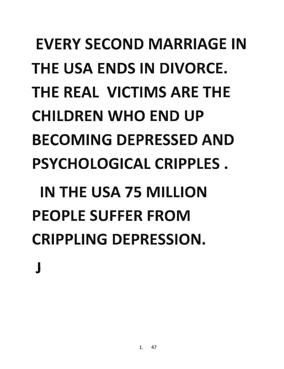## EVERY SECOND MARRIAGE IN THE USA ENDS IN DIVORCE. THE REAL VICTIMS ARE THE CHILDREN WHO END UP BECOMING DEPRESSED AND PSYCHOLOGICAL CRIPPLES. IN THE USA 75 MILLION PEOPLE SUFFER FROM CRIPPLING DEPRESSION. J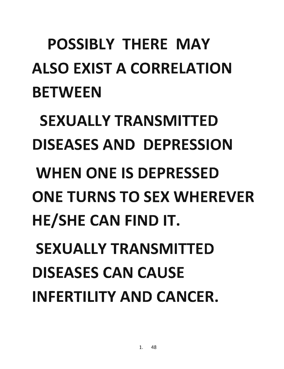## POSSIBLY THERE MAY ALSO EXIST A CORRELATION **BETWEEN**

SEXUALLY TRANSMITTED DISEASES AND DEPRESSION

WHEN ONE IS DEPRESSED ONE TURNS TO SEX WHEREVER HE/SHE CAN FIND IT.

SEXUALLY TRANSMITTED DISEASES CAN CAUSE INFERTILITY AND CANCER.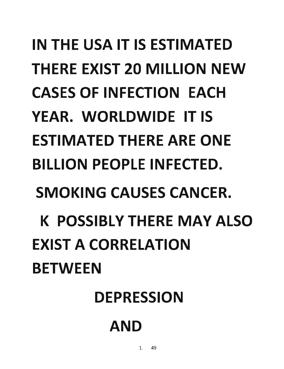# IN THE USA IT IS ESTIMATED THERE EXIST 20 MILLION NEW CASES OF INFECTION EACH YEAR. WORLDWIDE IT IS ESTIMATED THERE ARE ONE BILLION PEOPLE INFECTED. SMOKING CAUSES CANCER. K POSSIBLY THERE MAY ALSO EXIST A CORRELATION **BETWEEN**

#### DEPRESSION

#### AND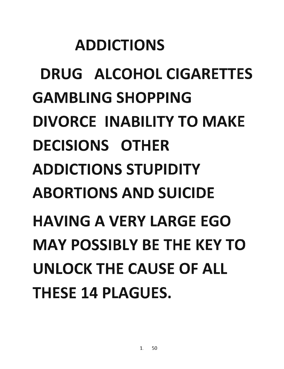#### ADDICTIONS

DRUG ALCOHOL CIGARETTES GAMBLING SHOPPING DIVORCE INABILITY TO MAKE DECISIONS OTHER ADDICTIONS STUPIDITY ABORTIONS AND SUICIDE HAVING A VERY LARGE EGO MAY POSSIBLY BE THE KEY TO UNLOCK THE CAUSE OF ALL THESE 14 PLAGUES.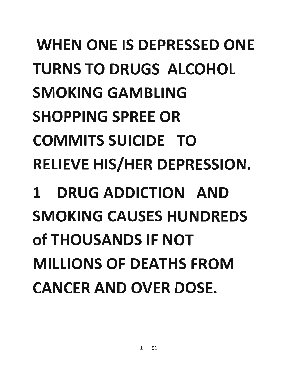# WHEN ONE IS DEPRESSED ONE TURNS TO DRUGS ALCOHOL SMOKING GAMBLING SHOPPING SPREE OR COMMITS SUICIDE TO RELIEVE HIS/HER DEPRESSION. 1 DRUG ADDICTION AND SMOKING CAUSES HUNDREDS of THOUSANDS IF NOT

MILLIONS OF DEATHS FROM

CANCER AND OVER DOSE.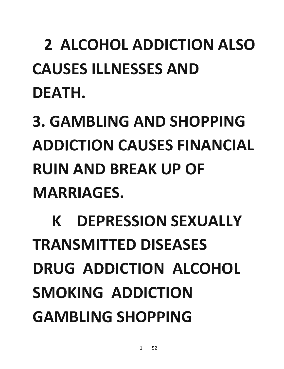2 ALCOHOL ADDICTION ALSO CAUSES ILLNESSES AND DEATH.

## 3. GAMBLING AND SHOPPING ADDICTION CAUSES FINANCIAL RUIN AND BREAK UP OF MARRIAGES.

K DEPRESSION SEXUALLY TRANSMITTED DISEASES DRUG ADDICTION ALCOHOL SMOKING ADDICTION GAMBLING SHOPPING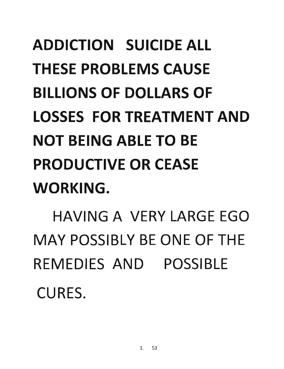## ADDICTION SUICIDE ALL THESE PROBLEMS CAUSE BILLIONS OF DOLLARS OF LOSSES FOR TREATMENT AND NOT BEING ABLE TO BE PRODUCTIVE OR CEASE WORKING.

HAVING A VERY LARGE EGO MAY POSSIBLY BE ONE OF THE REMEDIES AND POSSIBLE CURES.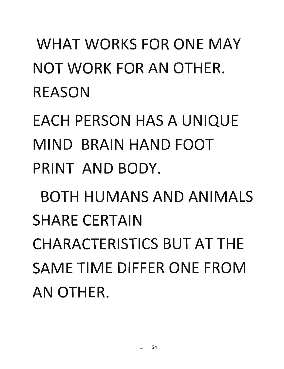#### WHAT WORKS FOR ONE MAY NOT WORK FOR AN OTHER. REASON

EACH PERSON HAS A UNIQUE MIND BRAIN HAND FOOT PRINT AND BODY.

BOTH HUMANS AND ANIMALS SHARE CERTAIN CHARACTERISTICS BUT AT THE SAME TIME DIFFER ONE FROM AN OTHER.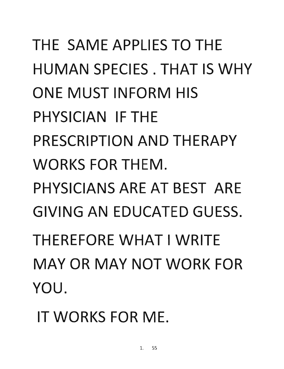THE SAME APPLIES TO THE HUMAN SPECIES. THAT IS WHY ONE MUST INFORM HIS PHYSICIAN IF THE PRESCRIPTION AND THERAPY WORKS FOR THEM. PHYSICIANS ARE AT BEST ARE GIVING AN EDUCATED GUESS. THEREFORE WHAT I WRITE MAY OR MAY NOT WORK FOR YOU.

IT WORKS FOR ME.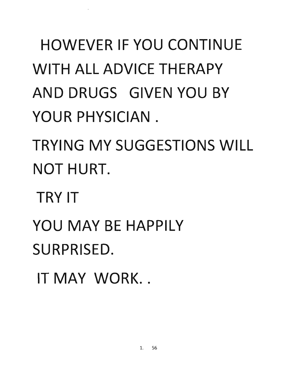## HOWEVER IF YOU CONTINUE WITH ALL ADVICE THERAPY AND DRUGS GIVEN YOU BY YOUR PHYSICIAN.

TRYING MY SUGGESTIONS WILL NOT HURT.

TRY IT

YOU MAY BE HAPPILY SURPRISED.

IT MAY WORK...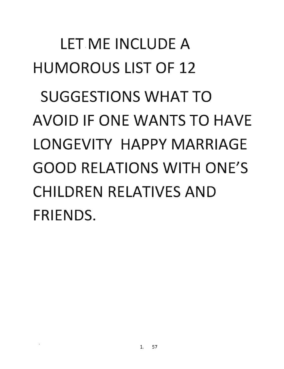# LET.ME INCLUDE A HUMOROUS LIST OF 12 SUGGESTIONS WHAT TO AVOID **IF** ONE WANTS TO HAVE LONGEVITY HAPPY MARRIAGE GOOD RELATIONS WITH ONE'S CHILDREN RELATIVES AND FRIENDS.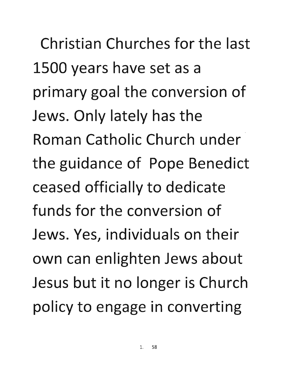**Christian Churches for the last 1500 years have set as a**  primary goal the conversion of **Jews. Only lately has the Roman Catholic Church under**  the guidance of Pope Benedict **ceased officially to dedicate funds for the conversion of Jews. Yes, individuals on their**  own can enlighten Jews about Jesus but it no longer is Church policy to engage in converting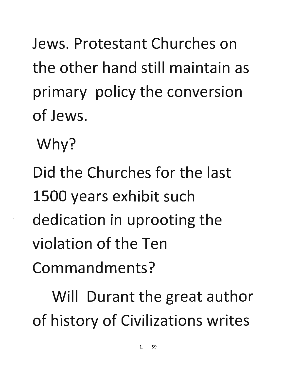Jews. Protestant Churches on the other hand still maintain as primary policy the conversion of Jews.

Why?

Did the Churches for the last 1500 years exhibit such dedication in uprooting the violation of the Ten Commandments?

Will Durant the great author of history of Civilizations writes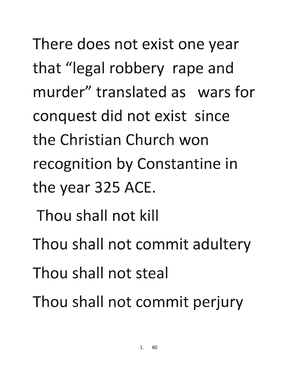There does not exist one year that "legal robbery rape and murder" translated as wars for conquest did not exist since the Christian Church won recognition by Constantine in the year 325 ACE.

- Thou shall not kill
- Thou shall not commit adultery
- Thou shall not steal
- Thou shall not commit perjury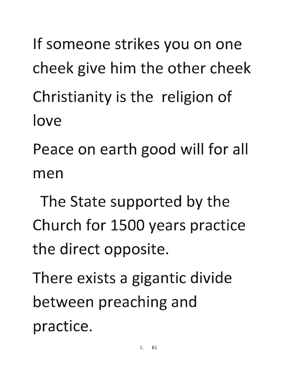- If someone strikes you on one cheek give him the other cheek Christianity is the religion of love
- Peace on earth good will for all men
- The State supported by the Church for 1500 years practice the direct opposite.

There exists a gigantic divide between preaching and practice.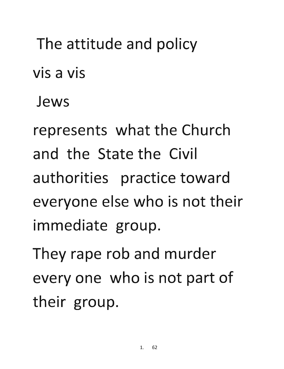#### The attitude and policy

• • **VIS a VIS** 

**Jews** 

represents what the Church **and the State the Civil authorities practice toward everyone else who is not their immediate group.** 

They rape rob and murder everyone who is not part of **their group.**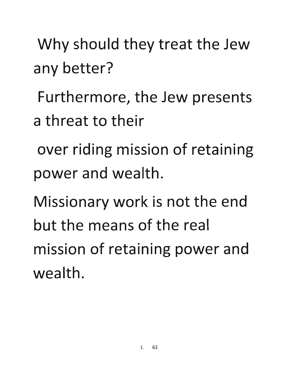Why should they treat the Jew **any better?** 

Furthermore, the Jew presents **a threat to their** 

**over riding mission of retaining power and wealth.** 

**Missionary work is not the end but the means of the real**  mission of retaining power and **wealth.**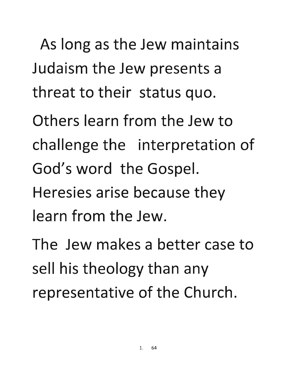As long as the Jew maintains Judaism the Jew presents a threat to their status quo.

**Others learn from the Jew to**  challenge the interpretation of God's word the Gospel. **Heresies arise because they learn from the Jew.** 

**The Jew makes a better case to**  sell his theology than any representative of the Church.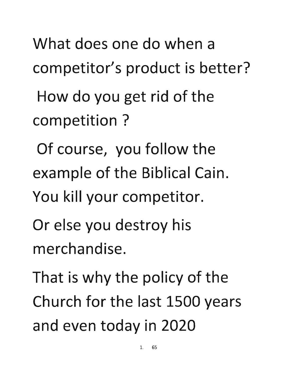What does one do when a competitor's product is better?

How do you get rid of the competition?

Of course, you follow the example of the Biblical Cain. You kill your competitor.

Or else you destroy his merchandise.

That is why the policy of the Church for the last 1500 years and even today in 2020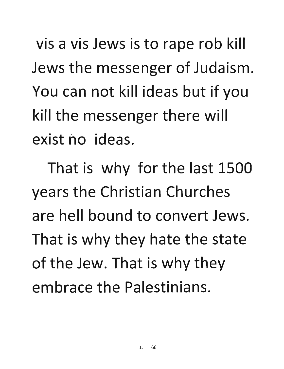vis a vis Jews is to rape rob kill Jews the messenger of Judaism. You can not kill ideas but if you kill the messenger there will exist no ideas.

That is why for the last 1500 years the Christian Churches are hell bound to convert Jews. That is why they hate the state of the Jew. That is why they embrace the Palestinians.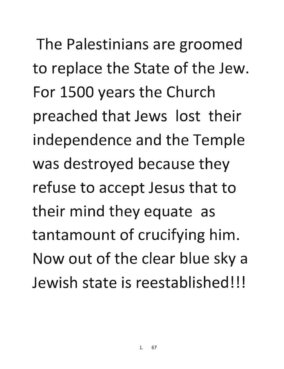The Palestinians are groomed to replace the State of the Jew. For 1500 years the Church preached that Jews lost their independence and the Temple was destroyed because they refuse to accept Jesus that to their mind they equate as tantamount of crucifying him. Now out of the clear blue sky a Jewish state is reestablished!!!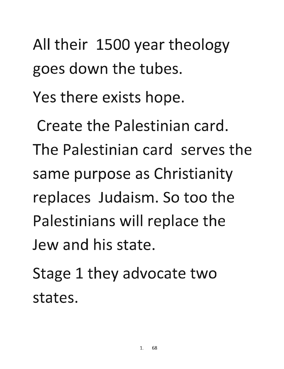All their 1500 year theology goes down the tubes.

**Yes there exists hope.** 

**Create the Palestinian card. The Palestinian card serves the**  same purpose as Christianity **replaces Judaism. So too the Palestinians will replace the Jew and his state.** 

Stage 1 they advocate two **states.**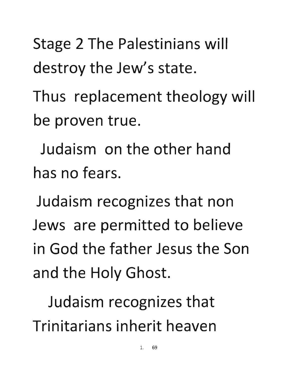Stage 2 The Palestinians will destroy the Jew's state.

Thus replacement theology will be proven true.

Judaism on the other hand has no fears.

Judaism recognizes that non Jews are permitted to believe in God the father Jesus the Son and the Holy Ghost.

Judaism recognizes that Trinitarians inherit heaven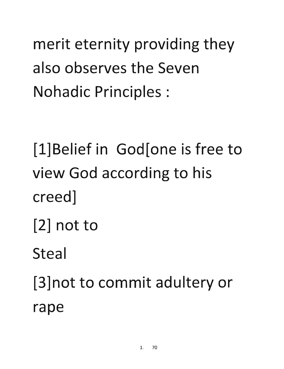merit eternity providing they **also observes the Seven**  Nohadic Principles:

**[l]Belief in God[one is free to view God according to his creed]** 

[2] **not to** 

**Steal** 

**[3]not to commit adultery or rape**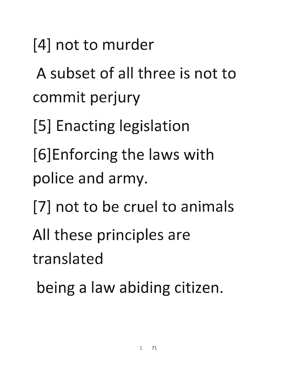[4] **not to murder** 

**A subset of all three is not to commit perjury** 

[5] Enacting legislation

[6]Enforcing the laws with police and army.

- [7] **not to be cruel to animals**
- All these principles are

**translated** 

being a law abiding citizen.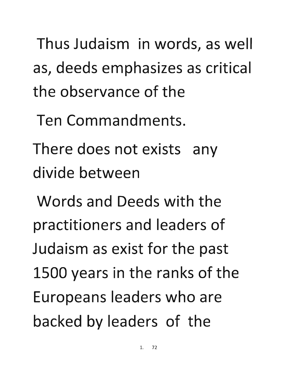**Thus Judaism in words, as well**  as, deeds emphasizes as critical **the observance of the** 

**Ten Commandments.** 

There does not exists any **divide between** 

**Words and Deeds with the practitioners and leaders of**  Judaism as exist for the past 1500 years in the ranks of the Europeans leaders who are backed by leaders of the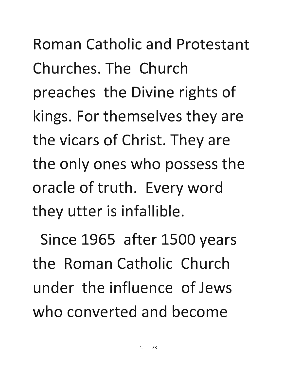Roman Catholic and Protestant Churches. The Church preaches the Divine rights of kings. For themselves they are the vicars of Christ. They are the only ones who possess the oracle of truth. Every word they utter is infallible.

Since 1965 after 1500 years the Roman Catholic Church under the influence of Jews who converted and become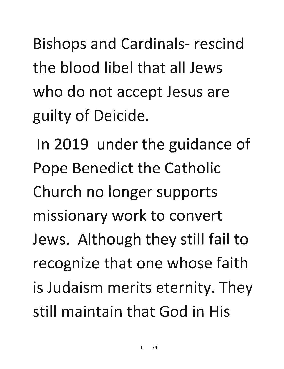**Bishops and Cardinals- rescind the blood libel that all Jews**  who do not accept Jesus are guilty of Deicide.

**In 2019 under the guidance of Pope Benedict the Catholic Church no longer supports missionary work to convert**  Jews. Although they still fail to recognize that one whose faith is Judaism merits eternity. They **still maintain that God in His**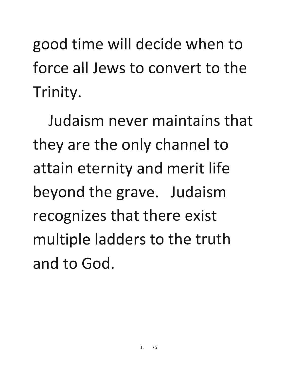**good time will decide when to force all Jews to convert to the Trinity.** 

**Judaism never maintains that they are the only channel to attain eternity and merit life**  beyond the grave. Judaism **recognizes that there exist**  multiple ladders to the truth **and to God.**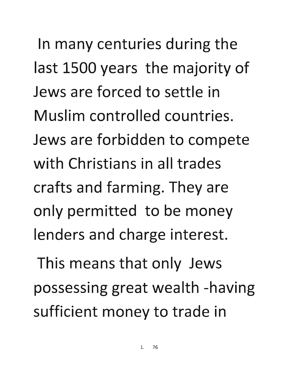**In many centuries during the**  last 1500 years the majority of **Jews are forced to settle in Muslim controlled countries. Jews are forbidden to compete with Christians in all trades crafts and farming. They are only permitted to be money lenders and charge interest.** 

This means that only Jews possessing great wealth -having sufficient money to trade in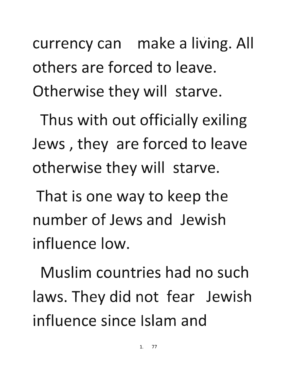currency can make a living. All **others are forced to leave.**  Otherwise they will starve.

Thus with out officially exiling **Jews**, they are forced to leave **otherwise they will starve.** 

**That is one way to keep the number of Jews and Jewish influence low.** 

**Muslim countries had no such**  laws. They did not fear Jewish **influence since Islam and**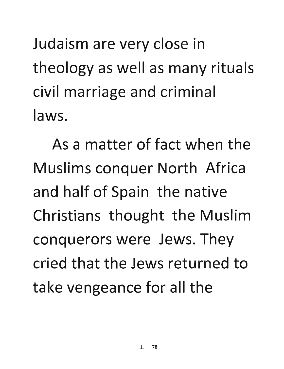Judaism are very close in theology as well as many rituals civil marriage and criminal **laws.** 

**As a matter of fact when the Muslims conquer North Africa**  and half of Spain the native **Christians thought the Muslim**  conquerors were Jews. They **cried that the Jews returned to**  take vengeance for all the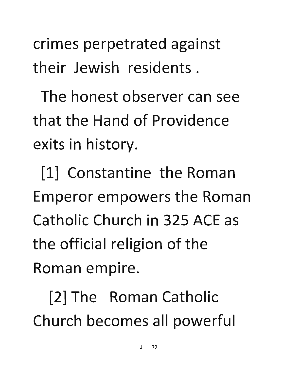**crimes perpetrated against their Jewish residents.** 

**The honest observer can see that the Hand of Providence exits in history.** 

[1] **Constantine the Roman**  Emperor empowers the Roman **Catholic Church in 325** ACE **as**  the official religion of the **Roman empire.** 

[2] **The Roman Catholic**  Church becomes all powerful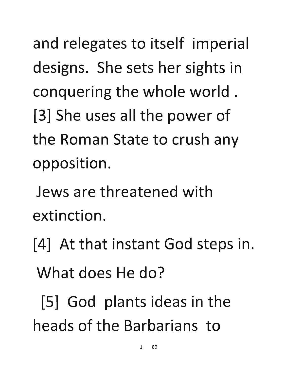and relegates to itself imperial designs. She sets her sights in **conquering the whole world.**  [3] She uses all the power of **the Roman State to crush any opposition.** 

**Jews are threatened with extinction.** 

[4] At that instant God steps in. **What does He do?** 

[5] God plants ideas in the **heads of the Barbarians to**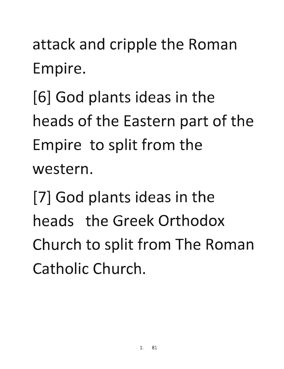attack and cripple the Roman **Empire.** 

[6] God plants ideas in the heads of the Eastern part of the **Empire to split from the western.** 

**[7] God plants ideas in the heads the Greek Orthodox**  Church to split from The Roman **Catholic Church.**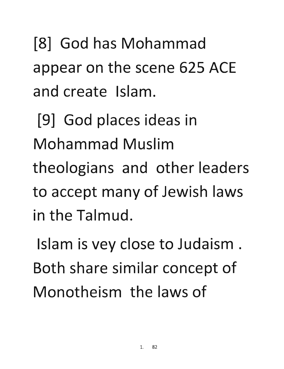[8] God has Mohammad appear on the scene 625 ACE and create Islam.

[9] God places ideas in Mohammad Muslim theologians and other leaders to accept many of Jewish laws in the Talmud.

Islam is vey close to Judaism. Both share similar concept of Monotheism the laws of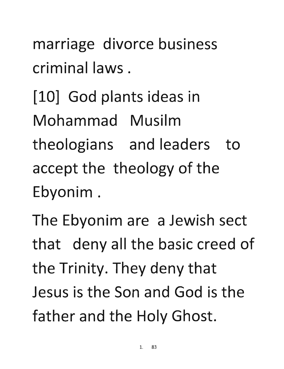marriage divorce business criminal laws **.** 

[10] **God plants ideas in Mohammad Musilm**  theologians and leaders to accept the theology of the **Ebyonim.** 

The Ebyonim are a Jewish sect that deny all the basic creed of the Trinity. They deny that **Jesus is the Son and God is the**  father and the Holy Ghost.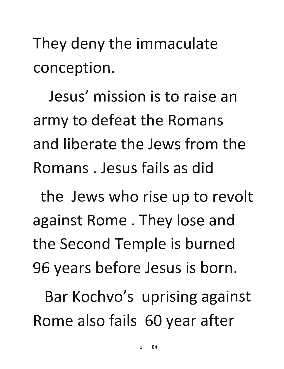They deny the immaculate conception.

Jesus' mission is to raise an army to defeat the Romans and liberate the Jews from the Romans. Jesus fails as did

the Jews who rise up to revolt against Rome. They lose and the Second Temple is burned 96 years before Jesus is born.

Bar Kochvo's uprising against Rome also fails 60 year after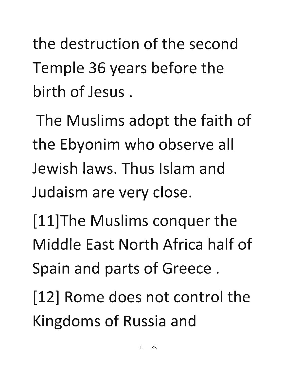**the destruction of the second**  Temple 36 years before the **birth of Jesus.** 

The Muslims adopt the faith of the Ebyonim who observe all **Jewish laws. Thus Islam and Judaism are very close.** 

**[ll]The Muslims conquer the Middle East North Africa half of**  Spain and parts of Greece.

**[12] Rome does not control the**  Kingdoms of Russia and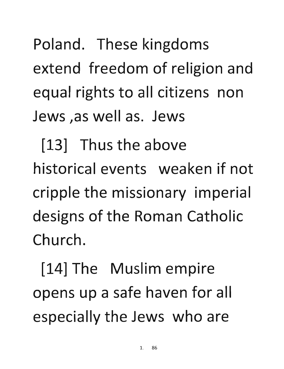Poland. These kingdoms extend freedom of religion and equal rights to all citizens non Jews ,as well as. Jews

[13] Thus the above historical events weaken if not cripple the missionary imperial designs of the Roman Catholic Church.

[14] The Muslim empire opens up a safe haven for all especially the Jews who are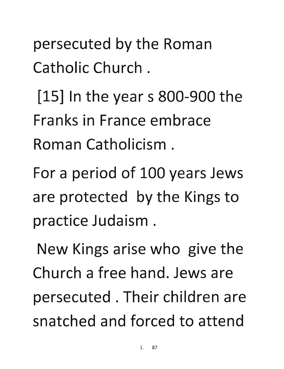persecuted by the Roman Catholic Church.

 $[15]$  In the year s 800-900 the Franks in France embrace Roman Catholicism.

For a period of 100 years Jews are protected by the Kings to practice Judaism.

New Kings arise who give the Church a free hand. Jews are persecuted. Their children are snatched and forced to attend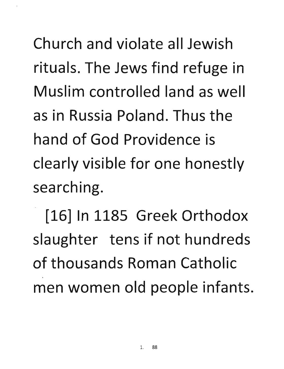Church and violate all Jewish rituals. The Jews find refuge in Muslim controlled land as well as in Russia Poland. Thus the hand of God Providence is clearly visible for one honestly searching.

[16] In 1185 Greek Orthodox slaughter tens if not hundreds of thousands Roman Catholic men women old people infants.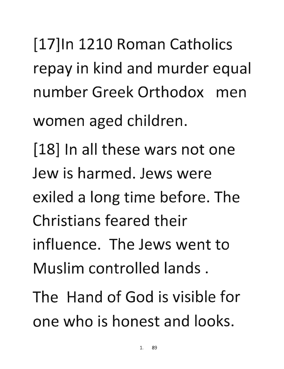[17]ln 1210 Roman Catholics repay in kind and murder equal number Greek Orthodox men women aged children.

[18] In all these wars not one Jew is harmed. Jews were exiled a long time before. The Christians feared their influence. The Jews went to Muslim controlled lands.

The Hand of God is visible for one who is honest and looks.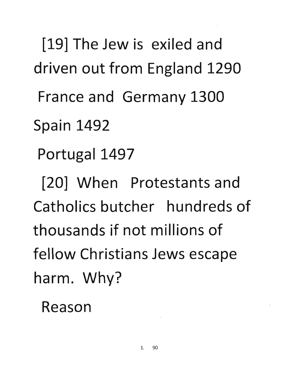[19] The Jew is exiled and driven out from England 1290 France and Germany 1300 Spain 1492 Portugal 1497 [20] When Protestants and Catholics butcher hundreds of thousands if not millions of fellow Christians Jews escape harm. Why?

Reason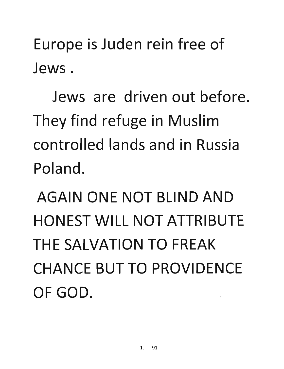Europe is Juden rein free of Jews.

Jews are driven out before. They find refuge in Muslim controlled lands and in Russia Poland.

AGAIN ONE NOT BLIND AND HONEST WILL NOT ATTRIBUTE THE SALVATION TO FREAK CHANCE BUT TO PROVIDENCE OF GOD.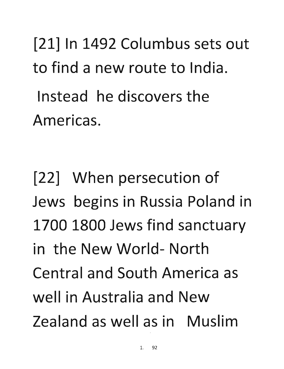[21] In 1492 Columbus sets out to find a new route to India. Instead he discovers the Americas.

[22] When persecution of Jews begins in Russia Poland in 1700 1800 Jews find sanctuary in the New World- North Central and South America as well in Australia and New Zealand as well as in Muslim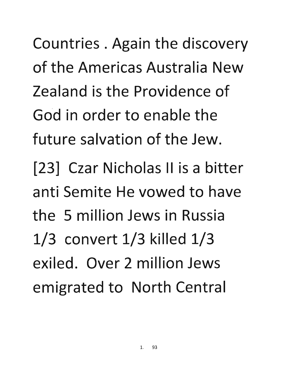Countries. Again the discovery of the Americas Australia New Zealand is the Providence of God in order to enable the future salvation of the Jew.

[23] Czar Nicholas II is a bitter anti Semite He vowed to have the 5 million Jews in Russia 1/3 convert 1/3 killed 1/3 exiled. Over 2 million Jews emigrated to North Central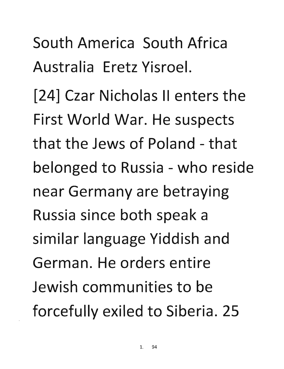South America South Africa Australia Eretz Yisroel.

[24] Czar Nicholas II enters the First World War. He suspects that the Jews of Poland - that belonged to Russia - who reside near Germany are betraying Russia since both speak a similar language Yiddish and German. He orders entire Jewish communities to be forcefully exiled to Siberia. 25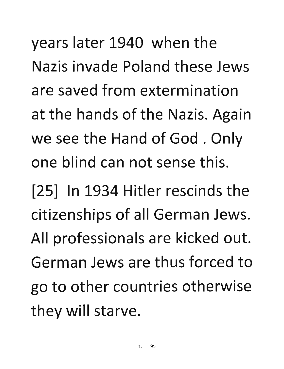**years later 1940 when the Nazis invade Poland these Jews are saved from extermination**  at the hands of the Nazis. Again we see the Hand of God. Only **one blind can not sense this.** 

**[25] In 1934 Hitler rescinds the citizenships of all German Jews.**  All professionals are kicked out. **German Jews are thus forced to**  go to other countries otherwise they will starve.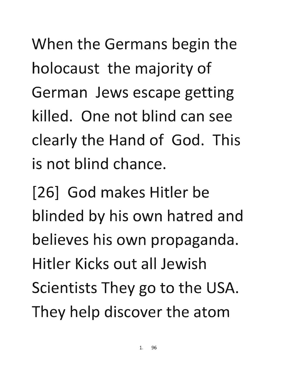When the Germans begin the holocaust the majority of German Jews escape getting killed. One not blind can see clearly the Hand of God. This is not blind chance.

[26] God makes Hitler be blinded by his own hatred and believes his own propaganda. Hitler Kicks out all Jewish Scientists They go to the USA. They help discover the atom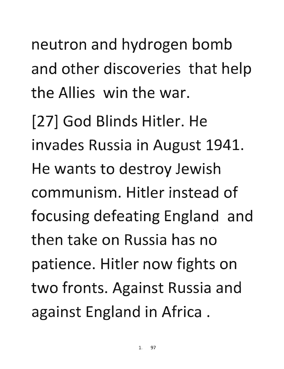neutron and hydrogen bomb and other discoveries that help the Allies win the war.

[27] God Blinds Hitler. He invades Russia in August 1941. He wants to destroy Jewish communism. Hitler instead of focusing defeating England and then take on Russia has no patience. Hitler now fights on two fronts. Against Russia and against England in Africa.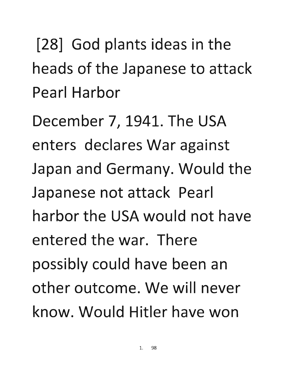[28] God plants ideas in the heads of the Japanese to attack Pearl Harbor

December 7, 1941. The USA enters declares War against Japan and Germany. Would the Japanese not attack Pearl harbor the USA would not have entered the war. There possibly could have been an other outcome. We will never know. Would Hitler have won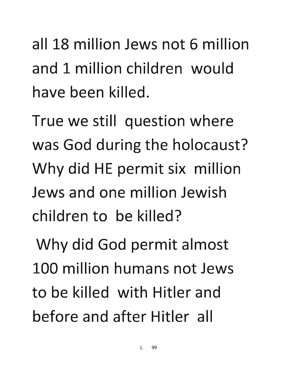all 18 million Jews not 6 million and 1 million children would have been killed.

True we still question where was God during the holocaust? Why did HE permit six million Jews and one million Jewish children to be killed?

Why did God permit almost 100 million humans not Jews to be killed with Hitler and before and after Hitler all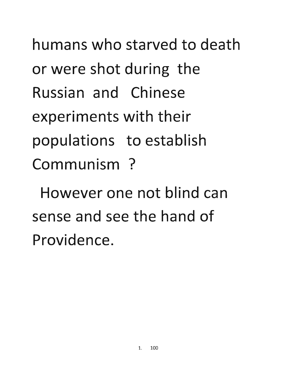humans who starved to death or were shot during the Russian and Chinese experiments with their populations to establish Communism?

However one not blind can sense and see the hand of Providence.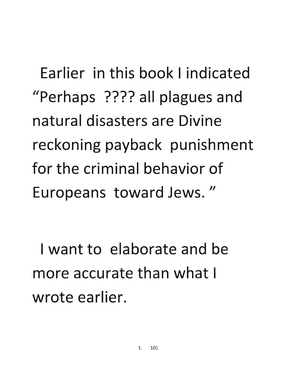Earlier in this book I indicated "Perhaps ???? all plagues and natural disasters are Divine reckoning payback punishment for the criminal behavior of Europeans toward Jews."

I want to elaborate and be more accurate than what I wrote earlier.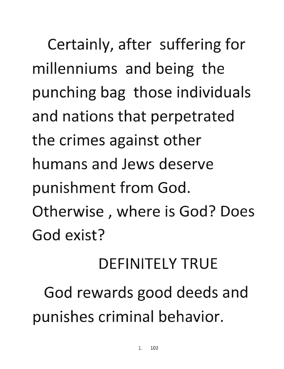Certainly, after suffering for **millenniums and being the punching bag those individuals**  and nations that perpetrated the crimes against other **humans and Jews deserve punishment from God. Otherwise, where is God? Does God exist?** 

## **DEFINITELY TRUE**

God rewards good deeds and punishes criminal behavior.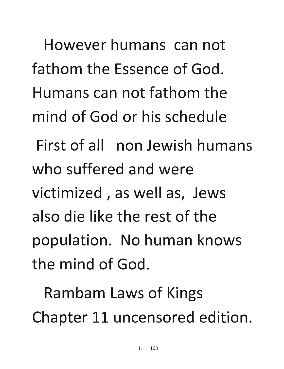However humans can not fathom the Essence of God. Humans can not fathom the mind of God or his schedule First of all non Jewish humans who suffered and were victimized, as well as, Jews

also die like the rest of the population. No human knows the mind of God.

Rambam Laws of Kings Chapter 11 uncensored edition.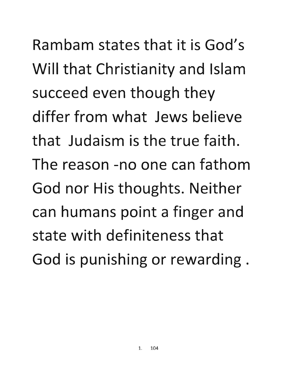**Rambam states that it is God's**  Will that Christianity and Islam succeed even though they **differ from what Jews believe that Judaism is the true faith. The reason -no one can fathom God nor His thoughts. Neither can humans point a finger and state with definiteness that**  God is punishing or rewarding.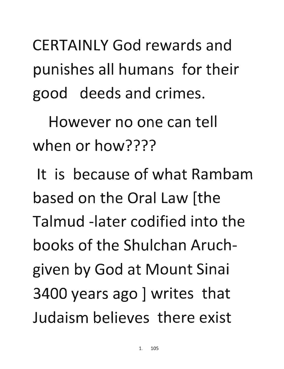CERTAINLY God rewards and punishes all humans for their good deeds and crimes.

However no one can tell when or how????

It is because of what Rambam based on the Oral Law [the Talmud -later codified into the books of the Shulchan Aruchgiven by God at Mount Sinai 3400 years ago ] writes that Judaism believes there exist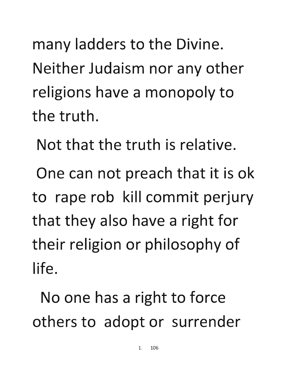**many ladders to the Divine. Neither Judaism nor any other religions have a monopoly to the truth.** 

**Not that the truth is relative.** 

**One can not preach that it is ok to rape rob kill commit perjury that they also have a right for**  their religion or philosophy of **life.** 

No one has a right to force others to adopt or surrender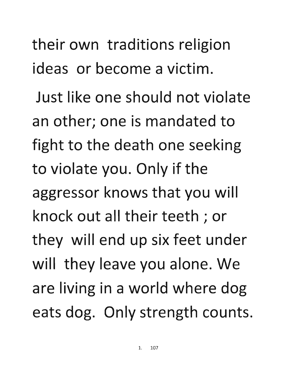**their own traditions religion ideas or become a victim.** 

**Just like one should not violate an other; one is mandated to fight to the death one seeking**  to violate you. Only if the **aggressor knows that you will knock out all their teeth; or**  they will end up six feet under will they leave you alone. We are living in a world where dog eats dog. Only strength counts.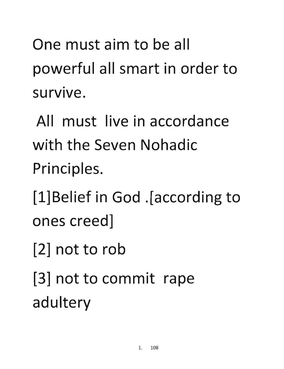One must aim to be all powerful all smart in order to survive.

All must live in accordance with the Seven Nohadic Principles.

[l]Belief in God .[according to ones creed]

[2] not to rob

[3] not to commit rape adultery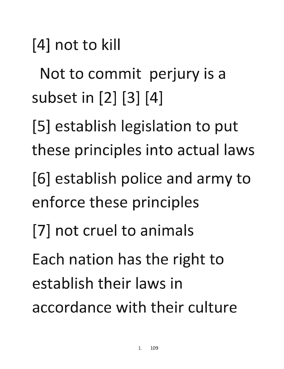[4] not to kill

Not to commit perjury is a subset in [2] [3] [4]

[5] establish legislation to put these principles into actual laws

[6] establish police and army to enforce these principles

[7] not cruel to animals

Each nation has the right to establish their laws in accordance with their culture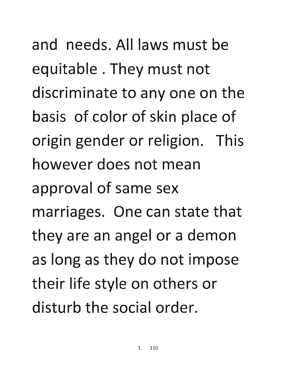**and needs.** All laws **must be equitable. They must not**  discriminate to anyone on the **basis of color of skin place of**  origin gender or religion. This **however does not mean approval of same sex marriages. One can state that they are an angel or a demon**  as long as they do not impose their life style on others or **disturb the social order.**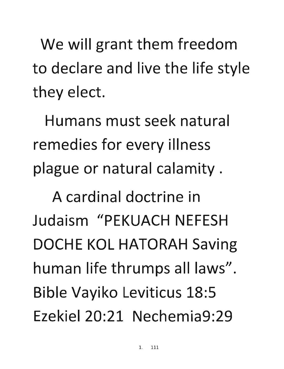We will grant them freedom to declare and live the life style they elect.

Humans must seek natural remedies for every illness plague or natural calamity.

A cardinal doctrine in Judaism "PEKUACH NEFESH DOCHE KOL HATORAH Saving human life thrumps all laws" . Bible Vayiko Leviticus 18:5 Ezekiel 20:21 Nechemia9:29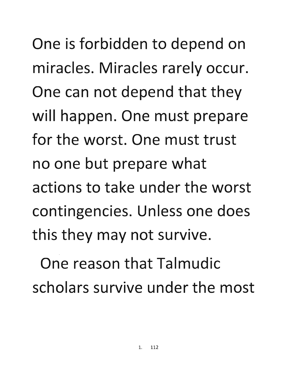One is forbidden to depend on miracles. Miracles rarely occur. One can not depend that they will happen. One must prepare **for the worst. One must trust**  no one but prepare what **actions to take under the worst contingencies. Unless one does this they may not survive.** 

**One reason that Talmudic scholars survive under the most**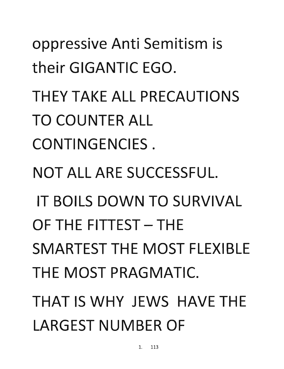oppressive Anti Semitism is their GIGANTIC EGO. THEY TAKE ALL PRECAUTIONS TO COUNTER ALL CONTINGENCIES. NOT ALL ARE SUCCESSFUL. IT BOILS DOWN TO SURVIVAL OF THE FITTEST - THE SMARTEST THE MOST FLEXIBLE THE MOST PRAGMATIC. THAT IS WHY JEWS HAVE THE LARGEST NUMBER OF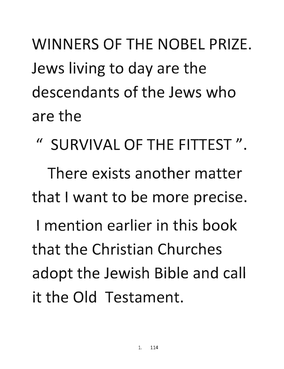WINNERS OF THE NOBEL PRIZE. Jews living to day are the descendants of the Jews who are the

II SURVIVAL OF THE FITTEST ".

There exists another matter that I want to be more precise.

I mention earlier in this book that the Christian Churches adopt the Jewish Bible and call it the Old Testament.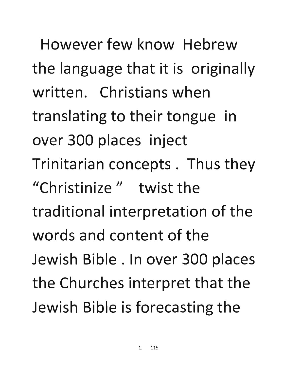However few know Hebrew the language that it is originally written. Christians when translating to their tongue in over 300 places inject Trinitarian concepts. Thus they "Christinize" twist the traditional interpretation of the words and content of the Jewish Bible. In over 300 places the Churches interpret that the Jewish Bible is forecasting the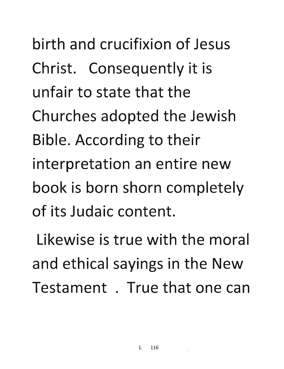**birth and crucifixion of Jesus**  Christ. Consequently it is **unfair to state that the**  Churches adopted the Jewish Bible. According to their **interpretation an entire new book is born shorn completely of its Judaic content.** 

**Likewise is true with the moral**  and ethical sayings in the New **Testament . True that one can**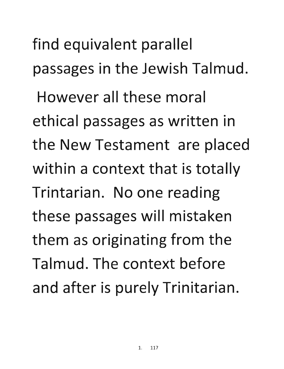find equivalent parallel **passages in the Jewish Talmud. However all these moral ethical passages as written in**  the New Testament are placed **within a context that is totally Trintarian. No one reading these passages will mistaken**  them as originating from the **Talmud. The context before**  and after is purely Trinitarian.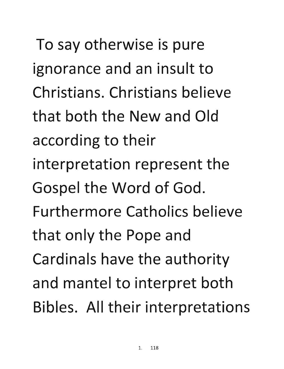To say otherwise is pure ignorance and an insult to **Christians. Christians believe that both the** New **and** Old · **according to their**  interpretation represent the Gospel the Word of God. **Furthermore Catholics believe that only the Pope and Cardinals have the authority**  and mantel to interpret both Bibles. All their interpretations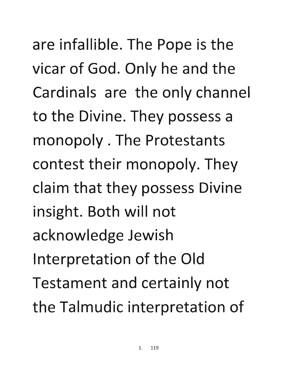are infallible. The Pope is the vicar of God. Only he and the **Cardinals are the only channel**  to the Divine. They possess a **monopoly. The Protestants**  contest their monopoly. They **claim that they possess Divine insight. Both will not acknowledge Jewish**  Interpretation of the Old Testament and certainly not the Talmudic interpretation of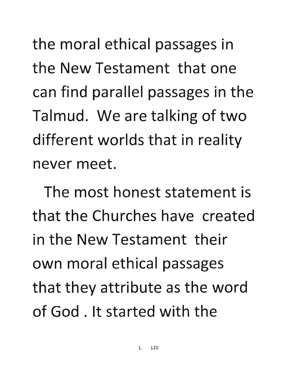the moral ethical passages in **the** New **Testament that one can find parallel passages in the**  Talmud. We are talking of two **different worlds that in reality never meet.** 

**The most honest statement is that the Churches have created in the** New **Testament their**  own moral ethical passages that they attribute as the word **of God. It started with the**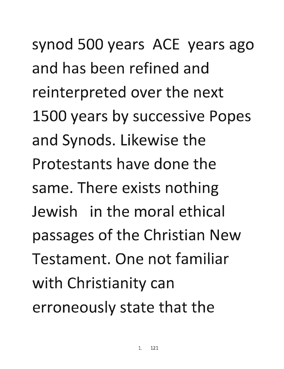synod 500 years ACE years ago and has been refined and reinterpreted over the next 1500 years by successive Popes and Synods. Likewise the Protestants have done the same. There exists nothing Jewish in the moral ethical passages of the Christian New Testament. One not familiar with Christianity can erroneously state that the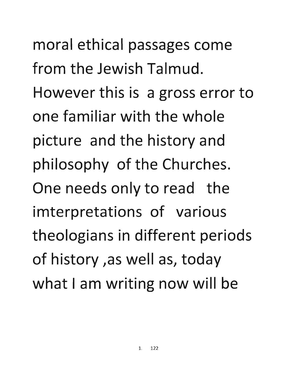moral ethical passages come **from the Jewish Talmud.**  However this is a gross error to **one familiar with the whole picture and the history and**  philosophy of the Churches. **One needs only to read the imterpretations of various theologians in different periods**  of history ,as well as, today what I am writing now will be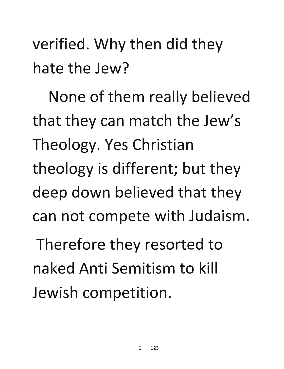verified. Why then did they **hate the Jew?** 

None of them really believed that they can match the Jew's Theology. Yes Christian theology is different; but they **deep down believed that they can not compete with Judaism.** 

**Therefore they resorted to naked Anti Semitism to kill** Jewish competition.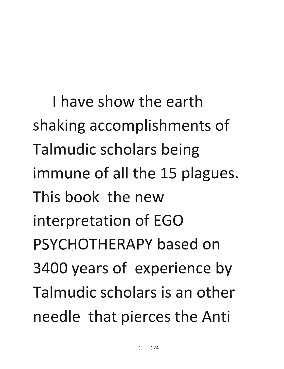I have show the earth shaking accomplishments of Talmudic scholars being immune of all the 15 plagues. This book the new interpretation of EGO PSYCHOTHERAPY based on 3400 years of experience by Talmudic scholars is an other needle that pierces the Anti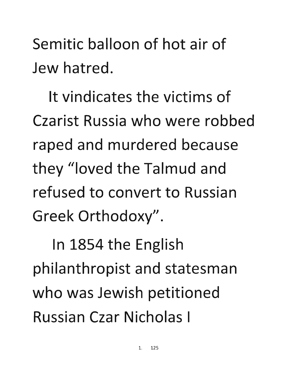Semitic balloon of hot air of Jew hatred.

It vindicates the victims of Czarist Russia who were robbed raped and murdered because they "loved the Talmud and refused to convert to Russian Greek Orthodoxy".

In 1854 the English philanthropist and statesman who was Jewish petitioned Russian Czar Nicholas I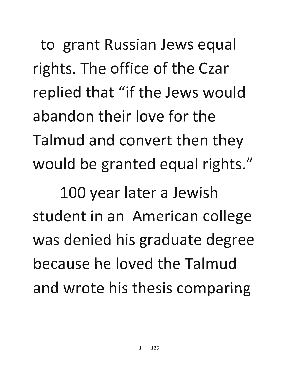to grant Russian Jews equal rights. The office of the Czar replied that "if the Jews would . abandon their love for the Talmud and convert then they would be granted equal rights."

100 year later a Jewish student in an American college was denied his graduate degree because he loved the Talmud and wrote his thesis comparing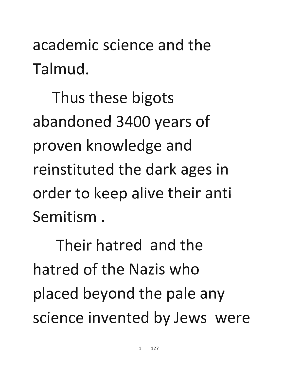**academic science and the Talmud.** 

Thus these bigots abandoned 3400 years of **proven knowledge and**  reinstituted the dark ages in **order to keep alive their anti Semitism .** 

**Their hatred and the hatred of the Nazis who**  placed beyond the pale any science invented by Jews were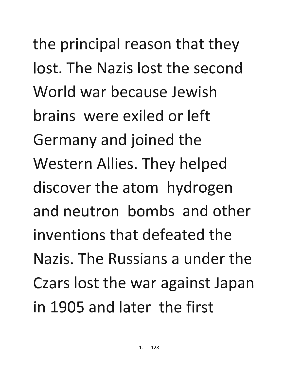the principal reason that they lost. The Nazis lost the second World war because Jewish brains were exiled or left Germany and joined the Western Allies. They helped discover the atom hydrogen and neutron bombs and other inventions that defeated the Nazis. The Russians a under the Czars lost the war against Japan in 1905 and later the first